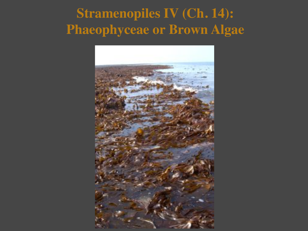# **Stramenopiles IV (Ch. 14): Phaeophyceae or Brown Algae**

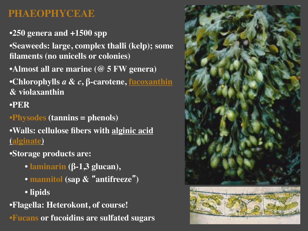## **PHAEOPHYCEAE**

•**250 genera and +1500 spp**

•**Seaweeds: large, complex thalli (kelp); some filaments (no unicells or colonies)**

•**Almost all are marine (@ 5 FW genera)**

•**Chlorophylls** *a* **&** *c***, β-carotene, fucoxanthin & violaxanthin** 

#### •**PER**

•**Physodes (tannins = phenols)**

•**Walls: cellulose fibers with alginic acid (alginate)**

•**Storage products are:**

- **laminarin (β-1,3 glucan),**
- **mannitol (sap & "antifreeze")**

• **lipids**

•**Flagella: Heterokont, of course!** •**Fucans or fucoidins are sulfated sugars**

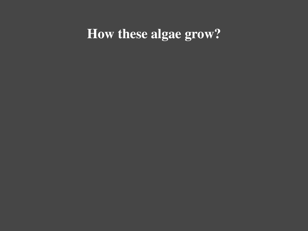## **How these algae grow?**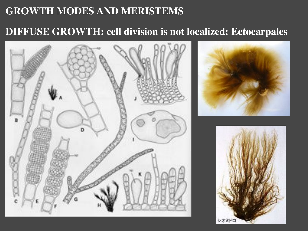## **DIFFUSE GROWTH: cell division is not localized: Ectocarpales**

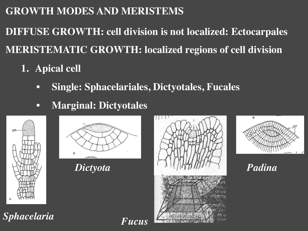**DIFFUSE GROWTH: cell division is not localized: Ectocarpales MERISTEMATIC GROWTH: localized regions of cell division**

- **1. Apical cell**
	- **Single: Sphacelariales, Dictyotales, Fucales**
	- **Marginal: Dictyotales**





*Dictyota*





*Padina*

*Sphacelaria*

*Fucus*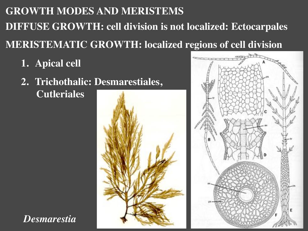# **GROWTH MODES AND MERISTEMS DIFFUSE GROWTH: cell division is not localized: Ectocarpales MERISTEMATIC GROWTH: localized regions of cell division**

**1. Apical cell**

*Desmarestia*

**2. Trichothalic: Desmarestiales, Cutleriales**



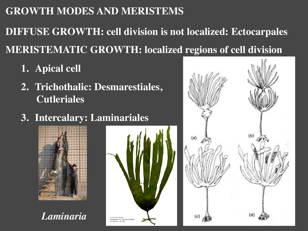**DIFFUSE GROWTH: cell division is not localized: Ectocarpales MERISTEMATIC GROWTH: localized regions of cell division**

- **1. Apical cell**
- **2. Trichothalic: Desmarestiales, Cutleriales**
- **3. Intercalary: Laminariales**







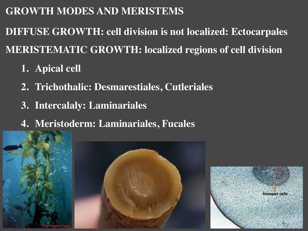**DIFFUSE GROWTH: cell division is not localized: Ectocarpales MERISTEMATIC GROWTH: localized regions of cell division**

- **1. Apical cell**
- **2. Trichothalic: Desmarestiales, Cutleriales**
- **3. Intercalaly: Laminariales**
- **4. Meristoderm: Laminariales, Fucales**

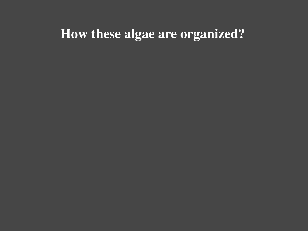## **How these algae are organized?**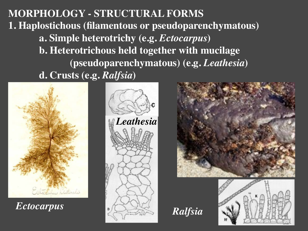**MORPHOLOGY - STRUCTURAL FORMS 1. Haplostichous (filamentous or pseudoparenchymatous) a. Simple heterotrichy (e.g.** *Ectocarpus***) b. Heterotrichous held together with mucilage " "(pseudoparenchymatous) (e.g.** *Leathesia***) d. Crusts (e.g.** *Ralfsia***)**



*Ectocarpus*





*Ralfsia*

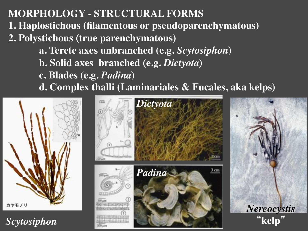**MORPHOLOGY - STRUCTURAL FORMS 1. Haplostichous (filamentous or pseudoparenchymatous) 2. Polystichous (true parenchymatous) a. Terete axes unbranched (e.g.** *Scytosiphon***) b. Solid axes branched (e.g.** *Dictyota***) c. Blades (e.g.** *Padina***) d. Complex thalli (Laminariales & Fucales, aka kelps)**



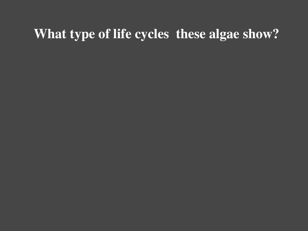## **What type of life cycles these algae show?**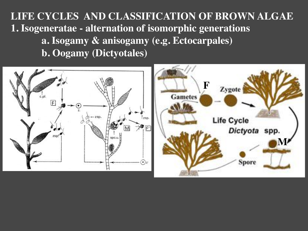**LIFE CYCLES AND CLASSIFICATION OF BROWN ALGAE 1. Isogeneratae - alternation of isomorphic generations a. Isogamy & anisogamy (e.g. Ectocarpales) b. Oogamy (Dictyotales)**

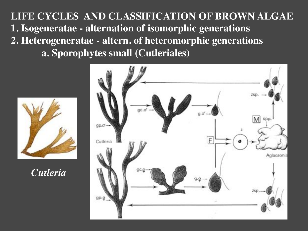**LIFE CYCLES AND CLASSIFICATION OF BROWN ALGAE 1. Isogeneratae - alternation of isomorphic generations 2. Heterogeneratae - altern. of heteromorphic generations a. Sporophytes small (Cutleriales)**



*Cutleria*

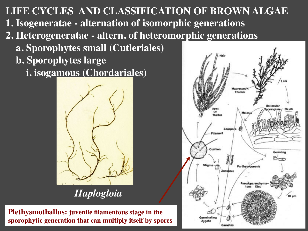**LIFE CYCLES AND CLASSIFICATION OF BROWN ALGAE 1. Isogeneratae - alternation of isomorphic generations 2. Heterogeneratae - altern. of heteromorphic generations a. Sporophytes small (Cutleriales) b. Sporophytes large i. isogamous (Chordariales)**



*Haplogloia*

**Plethysmothallus: juvenile filamentous stage in the sporophytic generation that can multiply itself by spores**

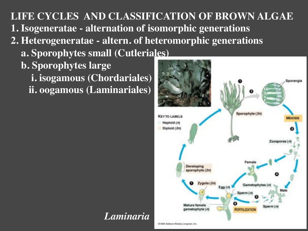**LIFE CYCLES AND CLASSIFICATION OF BROWN ALGAE 1. Isogeneratae - alternation of isomorphic generations 2. Heterogeneratae - altern. of heteromorphic generations a. Sporophytes small (Cutleriales) b. Sporophytes large i. isogamous (Chordariales) ii. oogamous (Laminariales)**

*Laminaria*